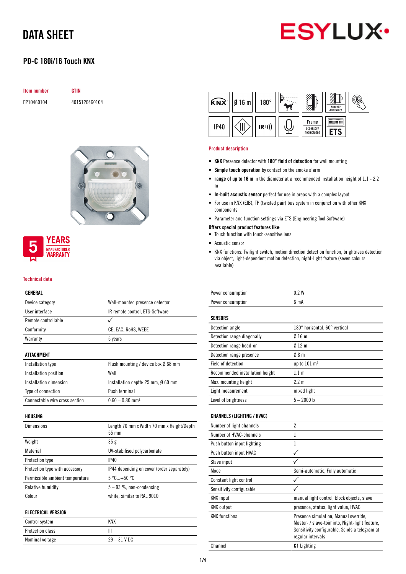# **ESYLUX**

## PD-C 180i/16 Touch KNX

| <b>Item number</b> | GTIN          |  |  |
|--------------------|---------------|--|--|
| EP10460104         | 4015120460104 |  |  |



#### **YEARS MANUFACTURER** *NARRANTY*

#### Technical data

#### GENERAL

| GLNLKAL                         |                                                         |
|---------------------------------|---------------------------------------------------------|
| Device category                 | Wall-mounted presence detector                          |
| User interface                  | IR remote control, ETS-Software                         |
| Remote controllable             |                                                         |
| Conformity                      | CE, EAC, RoHS, WEEE                                     |
| Warranty                        | 5 years                                                 |
| ATTACHMENT                      |                                                         |
| Installation type               | Flush mounting / device box Ø 68 mm                     |
| Installation position           | Wall                                                    |
| Installation dimension          | Installation depth: $25 \text{ mm}$ , $\emptyset$ 60 mm |
| Type of connection              | Push terminal                                           |
| Connectable wire cross section  | $0.60 - 0.80$ mm <sup>2</sup>                           |
| HOUSING                         |                                                         |
| Dimensions                      | Length 70 mm x Width 70 mm x Height/Depth<br>55 mm      |
| Weight                          | 35g                                                     |
| Material                        | UV-stabilised polycarbonate                             |
| Protection type                 | IP40                                                    |
| Protection type with accessory  | IP44 depending on cover (order separately)              |
| Permissible ambient temperature | $5^{\circ}$ C +50 $^{\circ}$ C                          |
| <b>Relative humidity</b>        | $5 - 93$ %, non-condensing                              |

#### ELECTRICAL VERSION

| Control system   | KNX            |
|------------------|----------------|
| Protection class |                |
| Nominal voltage  | $29 - 31$ V DC |

Colour white, similar to RAL 9010



#### Product description

- KNX Presence detector with 180° field of detection for wall mounting
- Simple touch operation by contact on the smoke alarm
- range of up to 16 m in the diameter at a recommended installation height of 1.1 2.2 m
- In-built acoustic sensor perfect for use in areas with a complex layout
- For use in KNX (EIB), TP (twisted pair) bus system in conjunction with other KNX components
- Parameter and function settings via ETS (Engineering Tool Software)

#### Offers special product features like:

- Touch function with touch-sensitive lens
- Acoustic sensor
- KNX functions: Twilight switch, motion direction detection function, brightness detection via object, light-dependent motion detection, night-light feature (seven colours available)

| 0.2W                          |
|-------------------------------|
| 6 <sub>m</sub> A              |
|                               |
|                               |
| 180° horizontal, 60° vertical |
| Ø 16 m                        |
| Ø 12 m                        |
| 08 m                          |
| up to $101 \text{ m}^2$       |
| 1.1 <sub>m</sub>              |
| $2.2 \text{ m}$               |
| mixed light                   |
| $5 - 2000$ lx                 |
|                               |
|                               |
| 2                             |
|                               |

| Number of light channels   | 7                                                                                                                                                             |
|----------------------------|---------------------------------------------------------------------------------------------------------------------------------------------------------------|
| Number of HVAC-channels    | 1                                                                                                                                                             |
| Push button input lighting |                                                                                                                                                               |
| Push button input HVAC     |                                                                                                                                                               |
| Slave input                |                                                                                                                                                               |
| Mode                       | Semi-automatic, Fully automatic                                                                                                                               |
| Constant light control     |                                                                                                                                                               |
| Sensitivity configurable   |                                                                                                                                                               |
| <b>KNX</b> input           | manual light control, block objects, slave                                                                                                                    |
| <b>KNX</b> output          | presence, status, light value, HVAC                                                                                                                           |
| <b>KNX</b> functions       | Presence simulation, Manual override,<br>Master- / slave-toiminto, Night-light feature,<br>Sensitivity configurable, Sends a telegram at<br>regular intervals |
| Channel                    | <b>C1</b> Lighting                                                                                                                                            |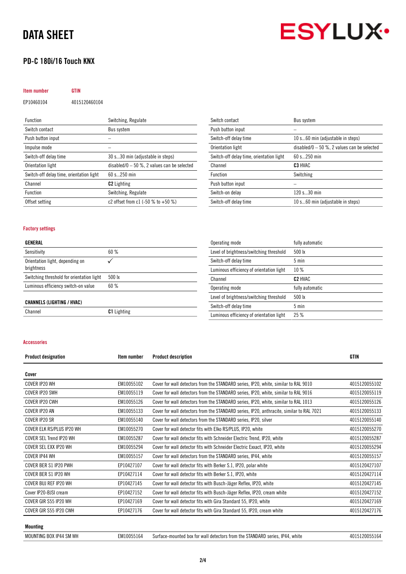# **ESYLUX·**

### PD-C 180i/16 Touch KNX

#### Item number GTIN

EP10460104 4015120460104

| <b>Function</b>                          | Switching, Regulate                          |
|------------------------------------------|----------------------------------------------|
| Switch contact                           | <b>Bus system</b>                            |
| Push button input                        |                                              |
| Impulse mode                             |                                              |
| Switch-off delay time                    | 30 s30 min (adjustable in steps)             |
| Orientation light                        | disabled/0 $-50$ %, 2 values can be selected |
| Switch-off delay time, orientation light | 60 s 250 min                                 |
| Channel                                  | <b>C2</b> Lighting                           |
| <b>Function</b>                          | Switching, Regulate                          |
| Offset setting                           | c2 offset from c1 $(-50 % 0 + 50 % )$        |

| Switch contact                           | <b>Bus system</b>                            |
|------------------------------------------|----------------------------------------------|
| Push button input                        |                                              |
| Switch-off delay time                    | 10 s60 min (adjustable in steps)             |
| Orientation light                        | disabled/0 $-50$ %, 2 values can be selected |
| Switch-off delay time, orientation light | $60 s$ 250 min                               |
| Channel                                  | C <sub>3</sub> HVAC                          |
|                                          |                                              |
| Function                                 | Switching                                    |
| Push button input                        |                                              |
| Switch-on delay                          | 120 s30 min                                  |

#### Factory settings

#### GENERAL

| Sensitivity                                   | 60%    |
|-----------------------------------------------|--------|
| Orientation light, depending on<br>brightness |        |
| Switching threshold for orientation light     | 500 lx |
| Luminous efficiency switch-on value           | 60%    |
| <b>CHANNELS (LIGHTING / HVAC)</b>             |        |

Channel C1 Lighting

| Operating mode                           | fully automatic     |
|------------------------------------------|---------------------|
| Level of brightness/switching threshold  | 500 lx              |
| Switch-off delay time                    | 5 min               |
| Luminous efficiency of orientation light | 10%                 |
| Channel                                  | C <sub>2</sub> HVAC |
| Operating mode                           | fully automatic     |
| Level of brightness/switching threshold  | 500 lx              |
| Switch-off delay time                    | $5 \text{ min}$     |
| Luminous efficiency of orientation light | 25%                 |

#### Accessories

| <b>Product designation</b> | Item number | <b>Product description</b>                                                               | <b>GTIN</b>   |
|----------------------------|-------------|------------------------------------------------------------------------------------------|---------------|
| Cover                      |             |                                                                                          |               |
| COVER IP20 WH              | EM10055102  | Cover for wall detectors from the STANDARD series, IP20, white, similar to RAL 9010      | 4015120055102 |
| COVER IP20 SWH             | EM10055119  | Cover for wall detectors from the STANDARD series, IP20, white, similar to RAL 9016      | 4015120055119 |
| COVER IP20 CWH             | EM10055126  | Cover for wall detectors from the STANDARD series, IP20, white, similar to RAL 1013      | 4015120055126 |
| COVER IP20 AN              | EM10055133  | Cover for wall detectors from the STANDARD series, IP20, anthracite, similar to RAL 7021 | 4015120055133 |
| COVER IP20 SR              | EM10055140  | Cover for wall detectors from the STANDARD series, IP20, silver                          | 4015120055140 |
| COVER ELK RS/PLUS IP20 WH  | EM10055270  | Cover for wall detector fits with Elko RS/PLUS, IP20, white                              | 4015120055270 |
| COVER SEL Trend IP20 WH    | EM10055287  | Cover for wall detector fits with Schneider Electric Trend, IP20, white                  | 4015120055287 |
| COVER SEL EXX IP20 WH      | EM10055294  | Cover for wall detector fits with Schneider Electric Exxact, IP20, white                 | 4015120055294 |
| COVER IP44 WH              | EM10055157  | Cover for wall detectors from the STANDARD series, IP44, white                           | 4015120055157 |
| COVER BER S1 IP20 PWH      | EP10427107  | Cover for wall detector fits with Berker S.1, IP20, polar white                          | 4015120427107 |
| COVER BER S1 IP20 WH       | EP10427114  | Cover for wall detector fits with Berker S.1, IP20, white                                | 4015120427114 |
| COVER BUJ REF IP20 WH      | EP10427145  | Cover for wall detector fits with Busch-Jäger Reflex, IP20, white                        | 4015120427145 |
| Cover IP20-BJSI cream      | EP10427152  | Cover for wall detector fits with Busch-Jäger Reflex, IP20, cream white                  | 4015120427152 |
| COVER GIR S55 IP20 WH      | EP10427169  | Cover for wall detector fits with Gira Standard 55, IP20, white                          | 4015120427169 |
| COVER GIR S55 IP20 CWH     | EP10427176  | Cover for wall detector fits with Gira Standard 55, IP20, cream white                    | 4015120427176 |
|                            |             |                                                                                          |               |

#### Mounting

MOUNTING BOX IP44 SM WH EM10055164 Surface-mounted box for wall detectors from the STANDARD series, IP44, white 4015120055164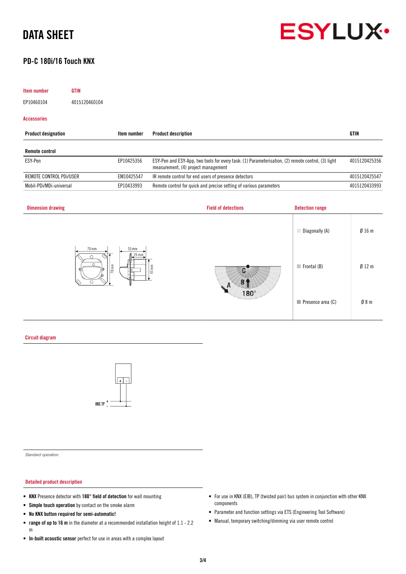### PD-C 180i/16 Touch KNX

# **ESYLUX**

Presence area (C)  $\emptyset$  8 m

| <b>Item number</b>         | <b>GTIN</b>                |                           |                                     |                                                                                                    |                            |               |
|----------------------------|----------------------------|---------------------------|-------------------------------------|----------------------------------------------------------------------------------------------------|----------------------------|---------------|
| EP10460104                 | 4015120460104              |                           |                                     |                                                                                                    |                            |               |
| <b>Accessories</b>         |                            |                           |                                     |                                                                                                    |                            |               |
| <b>Product designation</b> |                            | Item number               | <b>Product description</b>          |                                                                                                    |                            | <b>GTIN</b>   |
| <b>Remote control</b>      |                            |                           |                                     |                                                                                                    |                            |               |
| ESY-Pen                    |                            | EP10425356                | measurement, (4) project management | ESY-Pen and ESY-App, two tools for every task: (1) Parameterisation, (2) remote control, (3) light |                            | 4015120425356 |
| REMOTE CONTROL PDI/USER    |                            | EM10425547                |                                     | IR remote control for end users of presence detectors                                              |                            | 4015120425547 |
| Mobil-PDi/MDi-universal    |                            | EP10433993                |                                     | Remote control for quick and precise setting of various parameters                                 |                            | 4015120433993 |
| <b>Dimension drawing</b>   |                            |                           |                                     | <b>Field of detections</b>                                                                         | <b>Detection range</b>     |               |
|                            |                            |                           |                                     |                                                                                                    | Diagonally (A)             | Ø16m          |
|                            | 70 mm<br>না<br>$\cap$<br>∩ | 55 mm<br>25 mm<br>$70$ mm | $45 \text{ mm}$                     |                                                                                                    | $\blacksquare$ Frontal (B) | $Ø$ 12 m      |

т

 $180^\circ$ 

Circuit diagram



*Standard operation.*

#### Detailed product description

- KNX Presence detector with 180° field of detection for wall mounting
- Simple touch operation by contact on the smoke alarm
- No KNX button required for semi-automatic!
- range of up to 16 m in the diameter at a recommended installation height of 1.1 2.2 m
- In-built acoustic sensor perfect for use in areas with a complex layout
- For use in KNX (EIB), TP (twisted pair) bus system in conjunction with other KNX components
- Parameter and function settings via ETS (Engineering Tool Software)
- Manual, temporary switching/dimming via user remote control